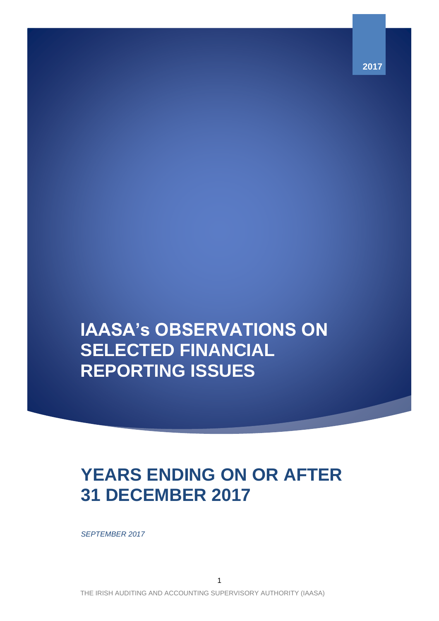**2017**

# **IAASA's OBSERVATIONS ON SELECTED FINANCIAL REPORTING ISSUES**

# **YEARS ENDING ON OR AFTER 31 DECEMBER 2017**

*SEPTEMBER 2017*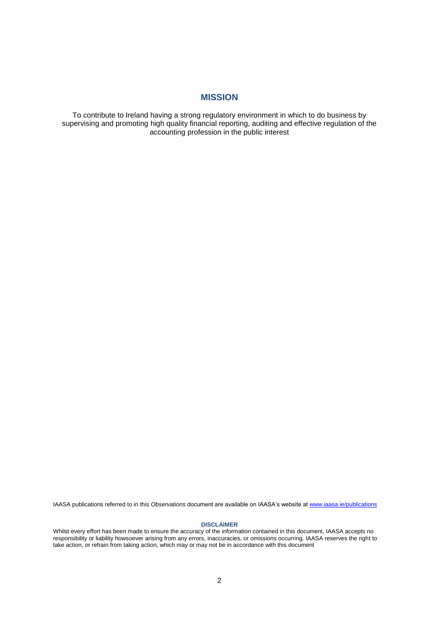# **MISSION**

To contribute to Ireland having a strong regulatory environment in which to do business by supervising and promoting high quality financial reporting, auditing and effective regulation of the accounting profession in the public interest

IAASA publications referred to in this *Observations* document are available on IAASA's website a[t www.iaasa.ie/publications](http://www.iaasa.ie/publications)

#### **DISCLAIMER**

Whilst every effort has been made to ensure the accuracy of the information contained in this document, IAASA accepts no responsibility or liability howsoever arising from any errors, inaccuracies, or omissions occurring. IAASA reserves the right to take action, or refrain from taking action, which may or may not be in accordance with this document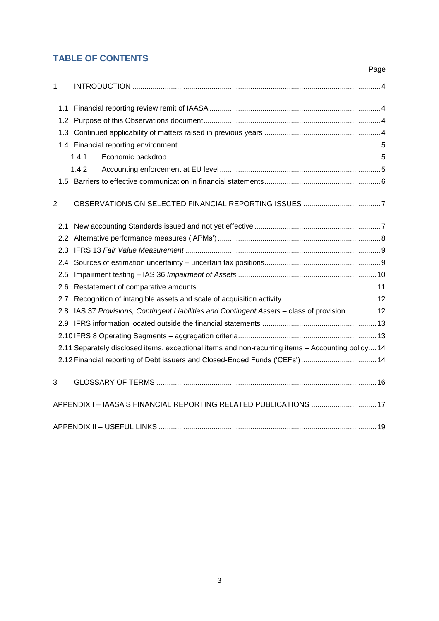# **TABLE OF CONTENTS**

<span id="page-2-0"></span>

|                |                                                                                                   | Page |
|----------------|---------------------------------------------------------------------------------------------------|------|
| $\mathbf{1}$   |                                                                                                   |      |
| 1.1            |                                                                                                   |      |
|                |                                                                                                   |      |
|                |                                                                                                   |      |
|                |                                                                                                   |      |
|                | 1.4.1                                                                                             |      |
|                | 1.4.2                                                                                             |      |
|                |                                                                                                   |      |
| $\overline{2}$ |                                                                                                   |      |
| 2.1            |                                                                                                   |      |
|                |                                                                                                   |      |
|                |                                                                                                   |      |
| $2.4^{\circ}$  |                                                                                                   |      |
| 2.5            |                                                                                                   |      |
|                |                                                                                                   |      |
|                |                                                                                                   |      |
|                | 2.8 IAS 37 Provisions, Contingent Liabilities and Contingent Assets - class of provision 12       |      |
|                |                                                                                                   |      |
|                |                                                                                                   |      |
|                | 2.11 Separately disclosed items, exceptional items and non-recurring items - Accounting policy 14 |      |
|                | 2.12 Financial reporting of Debt issuers and Closed-Ended Funds ('CEFs') 14                       |      |
| 3              |                                                                                                   |      |
|                | APPENDIX I-IAASA'S FINANCIAL REPORTING RELATED PUBLICATIONS  17                                   |      |
|                |                                                                                                   |      |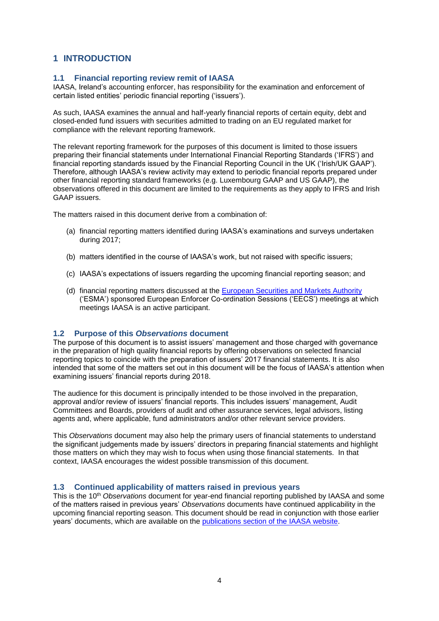# **1 INTRODUCTION**

# <span id="page-3-0"></span>**1.1 Financial reporting review remit of IAASA**

IAASA, Ireland's accounting enforcer, has responsibility for the examination and enforcement of certain listed entities' periodic financial reporting ('issuers').

As such, IAASA examines the annual and half-yearly financial reports of certain equity, debt and closed-ended fund issuers with securities admitted to trading on an EU regulated market for compliance with the relevant reporting framework.

The relevant reporting framework for the purposes of this document is limited to those issuers preparing their financial statements under International Financial Reporting Standards ('IFRS') and financial reporting standards issued by the Financial Reporting Council in the UK ('Irish/UK GAAP'). Therefore, although IAASA's review activity may extend to periodic financial reports prepared under other financial reporting standard frameworks (e.g. Luxembourg GAAP and US GAAP), the observations offered in this document are limited to the requirements as they apply to IFRS and Irish GAAP issuers.

The matters raised in this document derive from a combination of:

- (a) financial reporting matters identified during IAASA's examinations and surveys undertaken during 2017;
- (b) matters identified in the course of IAASA's work, but not raised with specific issuers;
- (c) IAASA's expectations of issuers regarding the upcoming financial reporting season; and
- (d) financial reporting matters discussed at the [European Securities and Markets Authority](https://www.esma.europa.eu/) ('ESMA') sponsored European Enforcer Co-ordination Sessions ('EECS') meetings at which meetings IAASA is an active participant.

# <span id="page-3-1"></span>**1.2 Purpose of this** *Observations* **document**

The purpose of this document is to assist issuers' management and those charged with governance in the preparation of high quality financial reports by offering observations on selected financial reporting topics to coincide with the preparation of issuers' 2017 financial statements. It is also intended that some of the matters set out in this document will be the focus of IAASA's attention when examining issuers' financial reports during 2018.

The audience for this document is principally intended to be those involved in the preparation, approval and/or review of issuers' financial reports. This includes issuers' management, Audit Committees and Boards, providers of audit and other assurance services, legal advisors, listing agents and, where applicable, fund administrators and/or other relevant service providers.

This *Observations* document may also help the primary users of financial statements to understand the significant judgements made by issuers' directors in preparing financial statements and highlight those matters on which they may wish to focus when using those financial statements. In that context, IAASA encourages the widest possible transmission of this document.

# <span id="page-3-2"></span>**1.3 Continued applicability of matters raised in previous years**

This is the 10th *Observations* document for year-end financial reporting published by IAASA and some of the matters raised in previous years' *Observations* documents have continued applicability in the upcoming financial reporting season. This document should be read in conjunction with those earlier years' documents, which are available on the [publications section of the IAASA website.](http://www.iaasa.ie/Publications/FRSU)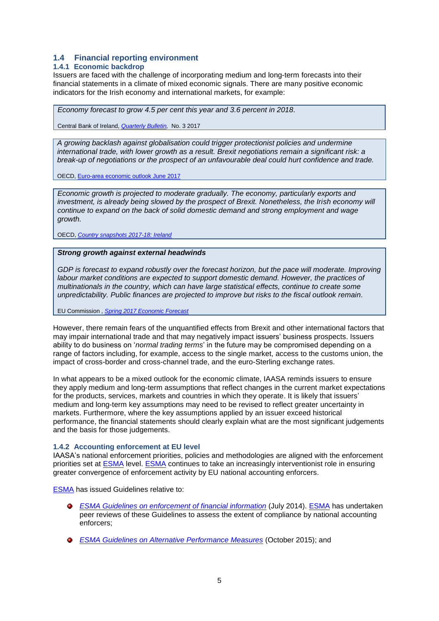# <span id="page-4-0"></span>**1.4 Financial reporting environment**

# <span id="page-4-1"></span>**1.4.1 Economic backdrop**

Issuers are faced with the challenge of incorporating medium and long-term forecasts into their financial statements in a climate of mixed economic signals. There are many positive economic indicators for the Irish economy and international markets, for example:

*Economy forecast to grow 4.5 per cent this year and 3.6 percent in 2018*.

Central Bank of Ireland, *[Quarterly Bulletin,](https://www.centralbank.ie/publication/quarterly-bulletins/quarterly-bulletin-q3-2017)* No. 3 2017

*A growing backlash against globalisation could trigger protectionist policies and undermine international trade, with lower growth as a result. Brexit negotiations remain a significant risk: a break-up of negotiations or the prospect of an unfavourable deal could hurt confidence and trade.*

OECD[, Euro-area economic outlook June 2017](http://www.oecd.org/eco/outlook/economic-forecast-summary-euro-area-oecd-economic-outlook-june-2017.pdf)

*Economic growth is projected to moderate gradually. The economy, particularly exports and investment, is already being slowed by the prospect of Brexit. Nonetheless, the Irish economy will continue to expand on the back of solid domestic demand and strong employment and wage growth.*

OECD, *[Country snapshots 2017-18: Ireland](http://oecdobserver.org/news/fullstory.php/aid/5749/Country_snapshots_2017-18:_Ireland.html)*

#### *Strong growth against external headwinds*

*GDP is forecast to expand robustly over the forecast horizon, but the pace will moderate. Improving labour market conditions are expected to support domestic demand. However, the practices of multinationals in the country, which can have large statistical effects, continue to create some unpredictability. Public finances are projected to improve but risks to the fiscal outlook remain.*

EU Commission , *[Spring 2017 Economic Forecast](https://ec.europa.eu/info/sites/info/files/ecfin_forecast_spring_110517_ie_en.pdf)*

However, there remain fears of the unquantified effects from Brexit and other international factors that may impair international trade and that may negatively impact issuers' business prospects. Issuers ability to do business on '*normal trading terms*' in the future may be compromised depending on a range of factors including, for example, access to the single market, access to the customs union, the impact of cross-border and cross-channel trade, and the euro-Sterling exchange rates.

In what appears to be a mixed outlook for the economic climate, IAASA reminds issuers to ensure they apply medium and long-term assumptions that reflect changes in the current market expectations for the products, services, markets and countries in which they operate. It is likely that issuers' medium and long-term key assumptions may need to be revised to reflect greater uncertainty in markets. Furthermore, where the key assumptions applied by an issuer exceed historical performance, the financial statements should clearly explain what are the most significant judgements and the basis for those judgements.

#### <span id="page-4-2"></span>**1.4.2 Accounting enforcement at EU level**

IAASA's national enforcement priorities, policies and methodologies are aligned with the enforcement priorities set at [ESMA](https://www.esma.europa.eu/) level. [ESMA](https://www.esma.europa.eu/) continues to take an increasingly interventionist role in ensuring greater convergence of enforcement activity by EU national accounting enforcers.

[ESMA](https://www.esma.europa.eu/) has issued Guidelines relative to:

- *[ESMA Guidelines on enforcement of financial information](https://www.esma.europa.eu/sites/default/files/library/2015/11/2014-esma-1293en.pdf)* (July 2014). [ESMA](https://www.esma.europa.eu/) has undertaken peer reviews of these Guidelines to assess the extent of compliance by national accounting enforcers;
- *[ESMA Guidelines on Alternative Performance Measures](https://www.esma.europa.eu/sites/default/files/library/2015/10/2015-esma-1415en.pdf)* (October 2015); and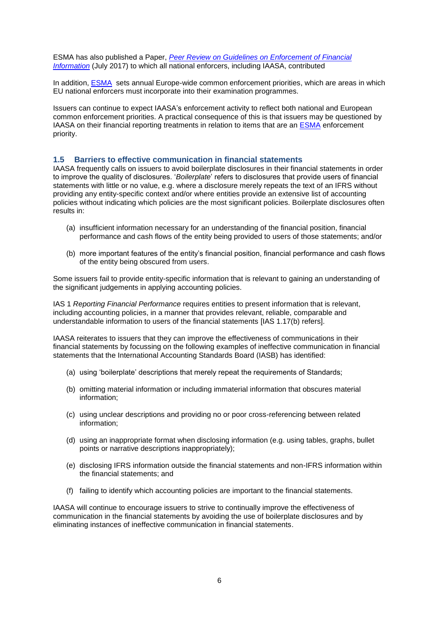ESMA has also published a Paper, *[Peer Review on Guidelines on Enforcement of Financial](https://www.esma.europa.eu/sites/default/files/library/esma42-111-4138_peer_review_report.pdf)  [Information](https://www.esma.europa.eu/sites/default/files/library/esma42-111-4138_peer_review_report.pdf)* (July 2017) to which all national enforcers, including IAASA, contributed

In addition, [ESMA](https://www.esma.europa.eu/) sets annual Europe-wide common enforcement priorities, which are areas in which EU national enforcers must incorporate into their examination programmes.

Issuers can continue to expect IAASA's enforcement activity to reflect both national and European common enforcement priorities. A practical consequence of this is that issuers may be questioned by IAASA on their financial reporting treatments in relation to items that are an [ESMA](https://www.esma.europa.eu/) enforcement priority.

## <span id="page-5-0"></span>**1.5 Barriers to effective communication in financial statements**

IAASA frequently calls on issuers to avoid boilerplate disclosures in their financial statements in order to improve the quality of disclosures. '*Boilerplate*' refers to disclosures that provide users of financial statements with little or no value, e.g. where a disclosure merely repeats the text of an IFRS without providing any entity-specific context and/or where entities provide an extensive list of accounting policies without indicating which policies are the most significant policies. Boilerplate disclosures often results in:

- (a) insufficient information necessary for an understanding of the financial position, financial performance and cash flows of the entity being provided to users of those statements; and/or
- (b) more important features of the entity's financial position, financial performance and cash flows of the entity being obscured from users.

Some issuers fail to provide entity-specific information that is relevant to gaining an understanding of the significant judgements in applying accounting policies.

IAS 1 *Reporting Financial Performance* requires entities to present information that is relevant, including accounting policies, in a manner that provides relevant, reliable, comparable and understandable information to users of the financial statements [IAS 1.17(b) refers].

IAASA reiterates to issuers that they can improve the effectiveness of communications in their financial statements by focussing on the following examples of ineffective communication in financial statements that the International Accounting Standards Board (IASB) has identified:

- (a) using 'boilerplate' descriptions that merely repeat the requirements of Standards;
- (b) omitting material information or including immaterial information that obscures material information;
- (c) using unclear descriptions and providing no or poor cross-referencing between related information;
- (d) using an inappropriate format when disclosing information (e.g. using tables, graphs, bullet points or narrative descriptions inappropriately);
- (e) disclosing IFRS information outside the financial statements and non-IFRS information within the financial statements; and
- (f) failing to identify which accounting policies are important to the financial statements.

IAASA will continue to encourage issuers to strive to continually improve the effectiveness of communication in the financial statements by avoiding the use of boilerplate disclosures and by eliminating instances of ineffective communication in financial statements.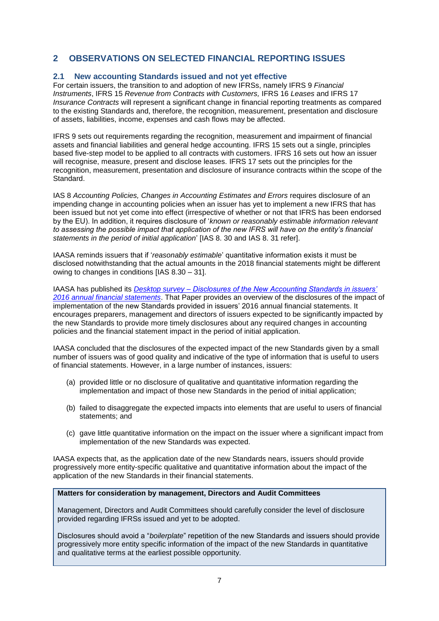# <span id="page-6-0"></span>**2 OBSERVATIONS ON SELECTED FINANCIAL REPORTING ISSUES**

# <span id="page-6-1"></span>**2.1 New accounting Standards issued and not yet effective**

For certain issuers, the transition to and adoption of new IFRSs, namely IFRS 9 *Financial Instruments*, IFRS 15 *Revenue from Contracts with Customers,* IFRS 16 *Leases* and IFRS 17 *Insurance Contracts* will represent a significant change in financial reporting treatments as compared to the existing Standards and, therefore, the recognition, measurement, presentation and disclosure of assets, liabilities, income, expenses and cash flows may be affected.

IFRS 9 sets out requirements regarding the recognition, measurement and impairment of financial assets and financial liabilities and general hedge accounting. IFRS 15 sets out a single, principles based five-step model to be applied to all contracts with customers. IFRS 16 sets out how an issuer will recognise, measure, present and disclose leases. IFRS 17 sets out the principles for the recognition, measurement, presentation and disclosure of insurance contracts within the scope of the Standard.

IAS 8 *Accounting Policies, Changes in Accounting Estimates and Errors* requires disclosure of an impending change in accounting policies when an issuer has yet to implement a new IFRS that has been issued but not yet come into effect (irrespective of whether or not that IFRS has been endorsed by the EU). In addition, it requires disclosure of '*known or reasonably estimable information relevant to assessing the possible impact that application of the new IFRS will have on the entity's financial statements in the period of initial application*' [IAS 8. 30 and IAS 8. 31 refer].

IAASA reminds issuers that if '*reasonably estimable*' quantitative information exists it must be disclosed notwithstanding that the actual amounts in the 2018 financial statements might be different owing to changes in conditions [IAS 8.30 – 31].

IAASA has published its *Desktop survey – [Disclosures of the New Accounting Standards in issuers'](http://www.iaasa.ie/getmedia/f3952fac-2813-401c-8e04-59d65a5c2335/New-Accounting-Stds-IFRS-9-IFRS-15-IFRS-16-FINAL.pdf)  [2016 annual financial statements](http://www.iaasa.ie/getmedia/f3952fac-2813-401c-8e04-59d65a5c2335/New-Accounting-Stds-IFRS-9-IFRS-15-IFRS-16-FINAL.pdf)*. That Paper provides an overview of the disclosures of the impact of implementation of the new Standards provided in issuers' 2016 annual financial statements. It encourages preparers, management and directors of issuers expected to be significantly impacted by the new Standards to provide more timely disclosures about any required changes in accounting policies and the financial statement impact in the period of initial application.

IAASA concluded that the disclosures of the expected impact of the new Standards given by a small number of issuers was of good quality and indicative of the type of information that is useful to users of financial statements. However, in a large number of instances, issuers:

- (a) provided little or no disclosure of qualitative and quantitative information regarding the implementation and impact of those new Standards in the period of initial application;
- (b) failed to disaggregate the expected impacts into elements that are useful to users of financial statements; and
- (c) gave little quantitative information on the impact on the issuer where a significant impact from implementation of the new Standards was expected.

IAASA expects that, as the application date of the new Standards nears, issuers should provide progressively more entity-specific qualitative and quantitative information about the impact of the application of the new Standards in their financial statements.

# **Matters for consideration by management, Directors and Audit Committees**

Management, Directors and Audit Committees should carefully consider the level of disclosure provided regarding IFRSs issued and yet to be adopted.

Disclosures should avoid a "*boilerplate*" repetition of the new Standards and issuers should provide progressively more entity specific information of the impact of the new Standards in quantitative and qualitative terms at the earliest possible opportunity.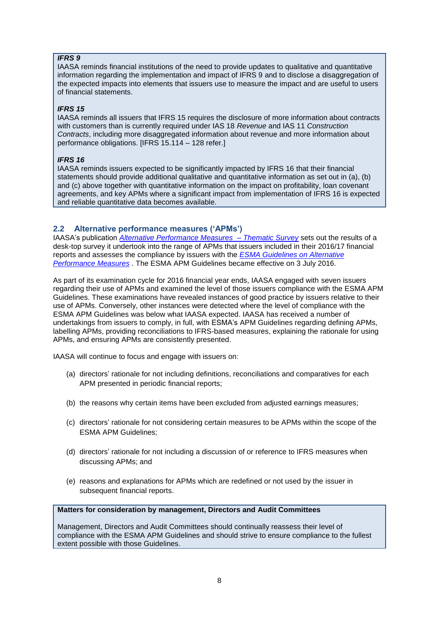# *IFRS 9*

IAASA reminds financial institutions of the need to provide updates to qualitative and quantitative information regarding the implementation and impact of IFRS 9 and to disclose a disaggregation of the expected impacts into elements that issuers use to measure the impact and are useful to users of financial statements.

# *IFRS 15*

IAASA reminds all issuers that IFRS 15 requires the disclosure of more information about contracts with customers than is currently required under IAS 18 *Revenue* and IAS 11 *Construction Contracts*, including more disaggregated information about revenue and more information about performance obligations. [IFRS 15.114 – 128 refer.]

# *IFRS 16*

IAASA reminds issuers expected to be significantly impacted by IFRS 16 that their financial statements should provide additional qualitative and quantitative information as set out in (a), (b) and (c) above together with quantitative information on the impact on profitability, loan covenant agreements, and key APMs where a significant impact from implementation of IFRS 16 is expected and reliable quantitative data becomes available.

# <span id="page-7-0"></span>**2.2 Alternative performance measures ('APMs')**

IAASA's publication *[Alternative Performance Measures –](http://www.iaasa.ie/getmedia/1fd03585-c071-45a6-bc01-cca56ca8925e/2017_09_05-APM-Thematic-final-for-publication.pdf) Thematic Survey* sets out the results of a desk-top survey it undertook into the range of APMs that issuers included in their 2016/17 financial reports and assesses the compliance by issuers with the *[ESMA Guidelines on Alternative](https://www.esma.europa.eu/sites/default/files/library/2015/10/2015-esma-1415en.pdf)  [Performance Measures](https://www.esma.europa.eu/sites/default/files/library/2015/10/2015-esma-1415en.pdf)* . The ESMA APM Guidelines became effective on 3 July 2016.

As part of its examination cycle for 2016 financial year ends, IAASA engaged with seven issuers regarding their use of APMs and examined the level of those issuers compliance with the ESMA APM Guidelines. These examinations have revealed instances of good practice by issuers relative to their use of APMs. Conversely, other instances were detected where the level of compliance with the ESMA APM Guidelines was below what IAASA expected. IAASA has received a number of undertakings from issuers to comply, in full, with ESMA's APM Guidelines regarding defining APMs, labelling APMs, providing reconciliations to IFRS-based measures, explaining the rationale for using APMs, and ensuring APMs are consistently presented.

IAASA will continue to focus and engage with issuers on:

- (a) directors' rationale for not including definitions, reconciliations and comparatives for each APM presented in periodic financial reports;
- (b) the reasons why certain items have been excluded from adjusted earnings measures;
- (c) directors' rationale for not considering certain measures to be APMs within the scope of the ESMA APM Guidelines;
- (d) directors' rationale for not including a discussion of or reference to IFRS measures when discussing APMs; and
- (e) reasons and explanations for APMs which are redefined or not used by the issuer in subsequent financial reports.

**Matters for consideration by management, Directors and Audit Committees**

Management, Directors and Audit Committees should continually reassess their level of compliance with the ESMA APM Guidelines and should strive to ensure compliance to the fullest extent possible with those Guidelines.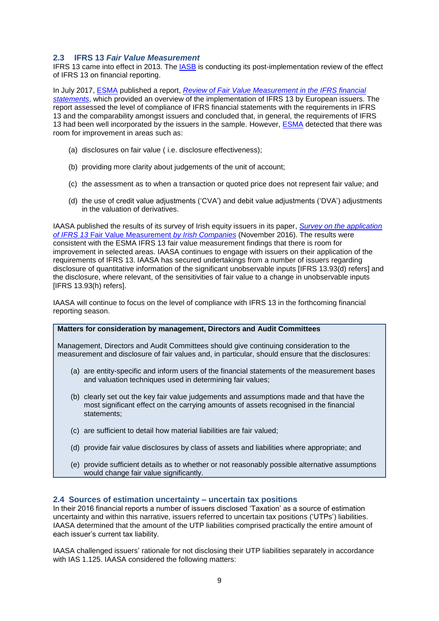# <span id="page-8-0"></span>**2.3 IFRS 13** *Fair Value Measurement*

IFRS 13 came into effect in 2013. The [IASB](http://www.ifrs.org/) is conducting its post-implementation review of the effect of IFRS 13 on financial reporting.

In July 2017, [ESMA](https://www.esma.europa.eu/) published a report, *[Review of Fair Value Measurement in the IFRS financial](https://www.esma.europa.eu/sites/default/files/library/esma32-67-284_report_on_ifrs_13_fair_value_measurement.pdf)  [statements](https://www.esma.europa.eu/sites/default/files/library/esma32-67-284_report_on_ifrs_13_fair_value_measurement.pdf)*, which provided an overview of the implementation of IFRS 13 by European issuers. The report assessed the level of compliance of IFRS financial statements with the requirements in IFRS 13 and the comparability amongst issuers and concluded that, in general, the requirements of IFRS 13 had been well incorporated by the issuers in the sample. However, [ESMA](https://www.esma.europa.eu/) detected that there was room for improvement in areas such as:

- (a) disclosures on fair value ( i.e. disclosure effectiveness);
- (b) providing more clarity about judgements of the unit of account;
- (c) the assessment as to when a transaction or quoted price does not represent fair value; and
- (d) the use of credit value adjustments ('CVA') and debit value adjustments ('DVA') adjustments in the valuation of derivatives.

IAASA published the results of its survey of Irish equity issuers in its paper, *[Survey on the application](http://www.iaasa.ie/getmedia/2579243e-d7ae-4c55-9bbf-1621a2c9058a/IFRS-13-Fair-value-thematic-2Nov2016.pdf?ext=.pdf)  of IFRS 13* [Fair Value Measurement](http://www.iaasa.ie/getmedia/2579243e-d7ae-4c55-9bbf-1621a2c9058a/IFRS-13-Fair-value-thematic-2Nov2016.pdf?ext=.pdf) *by Irish Companies* (November 2016). The results were consistent with the ESMA IFRS 13 fair value measurement findings that there is room for improvement in selected areas. IAASA continues to engage with issuers on their application of the requirements of IFRS 13. IAASA has secured undertakings from a number of issuers regarding disclosure of quantitative information of the significant unobservable inputs [IFRS 13.93(d) refers] and the disclosure, where relevant, of the sensitivities of fair value to a change in unobservable inputs [IFRS 13.93(h) refers].

IAASA will continue to focus on the level of compliance with IFRS 13 in the forthcoming financial reporting season.

#### **Matters for consideration by management, Directors and Audit Committees**

Management, Directors and Audit Committees should give continuing consideration to the measurement and disclosure of fair values and, in particular, should ensure that the disclosures:

- (a) are entity-specific and inform users of the financial statements of the measurement bases and valuation techniques used in determining fair values;
- (b) clearly set out the key fair value judgements and assumptions made and that have the most significant effect on the carrying amounts of assets recognised in the financial statements;
- (c) are sufficient to detail how material liabilities are fair valued;
- (d) provide fair value disclosures by class of assets and liabilities where appropriate; and
- (e) provide sufficient details as to whether or not reasonably possible alternative assumptions would change fair value significantly.

# <span id="page-8-1"></span>**2.4 Sources of estimation uncertainty – uncertain tax positions**

In their 2016 financial reports a number of issuers disclosed 'Taxation' as a source of estimation uncertainty and within this narrative, issuers referred to uncertain tax positions ('UTPs') liabilities. IAASA determined that the amount of the UTP liabilities comprised practically the entire amount of each issuer's current tax liability.

IAASA challenged issuers' rationale for not disclosing their UTP liabilities separately in accordance with IAS 1.125. IAASA considered the following matters: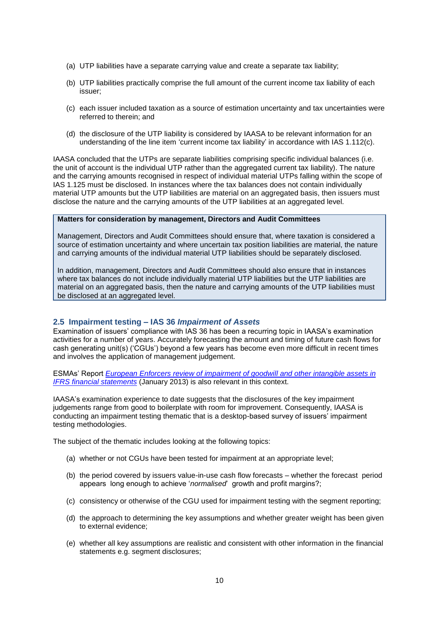- (a) UTP liabilities have a separate carrying value and create a separate tax liability;
- (b) UTP liabilities practically comprise the full amount of the current income tax liability of each issuer;
- (c) each issuer included taxation as a source of estimation uncertainty and tax uncertainties were referred to therein; and
- (d) the disclosure of the UTP liability is considered by IAASA to be relevant information for an understanding of the line item 'current income tax liability' in accordance with IAS 1.112(c).

IAASA concluded that the UTPs are separate liabilities comprising specific individual balances (i.e. the unit of account is the individual UTP rather than the aggregated current tax liability). The nature and the carrying amounts recognised in respect of individual material UTPs falling within the scope of IAS 1.125 must be disclosed. In instances where the tax balances does not contain individually material UTP amounts but the UTP liabilities are material on an aggregated basis, then issuers must disclose the nature and the carrying amounts of the UTP liabilities at an aggregated level.

#### **Matters for consideration by management, Directors and Audit Committees**

Management, Directors and Audit Committees should ensure that, where taxation is considered a source of estimation uncertainty and where uncertain tax position liabilities are material, the nature and carrying amounts of the individual material UTP liabilities should be separately disclosed.

In addition, management, Directors and Audit Committees should also ensure that in instances where tax balances do not include individually material UTP liabilities but the UTP liabilities are material on an aggregated basis, then the nature and carrying amounts of the UTP liabilities must be disclosed at an aggregated level.

#### <span id="page-9-0"></span>**2.5 Impairment testing – IAS 36** *Impairment of Assets*

Examination of issuers' compliance with IAS 36 has been a recurring topic in IAASA's examination activities for a number of years. Accurately forecasting the amount and timing of future cash flows for cash generating unit(s) ('CGUs') beyond a few years has become even more difficult in recent times and involves the application of management judgement.

ESMAs' Report *[European Enforcers review of impairment of goodwill and other intangible assets in](https://www.esma.europa.eu/sites/default/files/library/2015/11/2013-02.pdf)  [IFRS financial statements](https://www.esma.europa.eu/sites/default/files/library/2015/11/2013-02.pdf)* (January 2013) is also relevant in this context.

IAASA's examination experience to date suggests that the disclosures of the key impairment judgements range from good to boilerplate with room for improvement. Consequently, IAASA is conducting an impairment testing thematic that is a desktop-based survey of issuers' impairment testing methodologies.

The subject of the thematic includes looking at the following topics:

- (a) whether or not CGUs have been tested for impairment at an appropriate level;
- (b) the period covered by issuers value-in-use cash flow forecasts whether the forecast period appears long enough to achieve '*normalised*' growth and profit margins?;
- (c) consistency or otherwise of the CGU used for impairment testing with the segment reporting;
- (d) the approach to determining the key assumptions and whether greater weight has been given to external evidence;
- (e) whether all key assumptions are realistic and consistent with other information in the financial statements e.g. segment disclosures;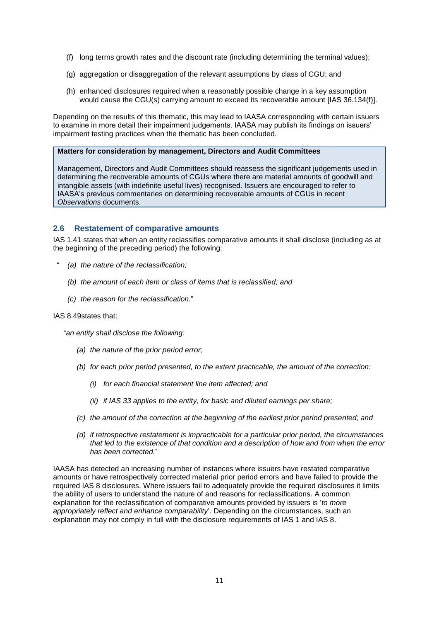- (f) long terms growth rates and the discount rate (including determining the terminal values);
- (g) aggregation or disaggregation of the relevant assumptions by class of CGU; and
- (h) enhanced disclosures required when a reasonably possible change in a key assumption would cause the CGU(s) carrying amount to exceed its recoverable amount [IAS 36.134(f)].

Depending on the results of this thematic, this may lead to IAASA corresponding with certain issuers to examine in more detail their impairment judgements. IAASA may publish its findings on issuers' impairment testing practices when the thematic has been concluded.

#### **Matters for consideration by management, Directors and Audit Committees**

Management, Directors and Audit Committees should reassess the significant judgements used in determining the recoverable amounts of CGUs where there are material amounts of goodwill and intangible assets (with indefinite useful lives) recognised. Issuers are encouraged to refer to IAASA's previous commentaries on determining recoverable amounts of CGUs in recent *Observations* documents.

# <span id="page-10-0"></span>**2.6 Restatement of comparative amounts**

IAS 1.41 states that when an entity reclassifies comparative amounts it shall disclose (including as at the beginning of the preceding period) the following:

- " *(a) the nature of the reclassification;*
	- *(b) the amount of each item or class of items that is reclassified; and*
	- *(c) the reason for the reclassification.*"

#### IAS 8.49states that:

"*an entity shall disclose the following:* 

- *(a) the nature of the prior period error;*
- *(b) for each prior period presented, to the extent practicable, the amount of the correction:* 
	- *(i) for each financial statement line item affected; and*
	- *(ii) if IAS 33 applies to the entity, for basic and diluted earnings per share;*
- *(c) the amount of the correction at the beginning of the earliest prior period presented; and*
- *(d) if retrospective restatement is impracticable for a particular prior period, the circumstances that led to the existence of that condition and a description of how and from when the error has been corrected.*"

IAASA has detected an increasing number of instances where issuers have restated comparative amounts or have retrospectively corrected material prior period errors and have failed to provide the required IAS 8 disclosures. Where issuers fail to adequately provide the required disclosures it limits the ability of users to understand the nature of and reasons for reclassifications. A common explanation for the reclassification of comparative amounts provided by issuers is '*to more appropriately reflect and enhance comparability*'. Depending on the circumstances, such an explanation may not comply in full with the disclosure requirements of IAS 1 and IAS 8.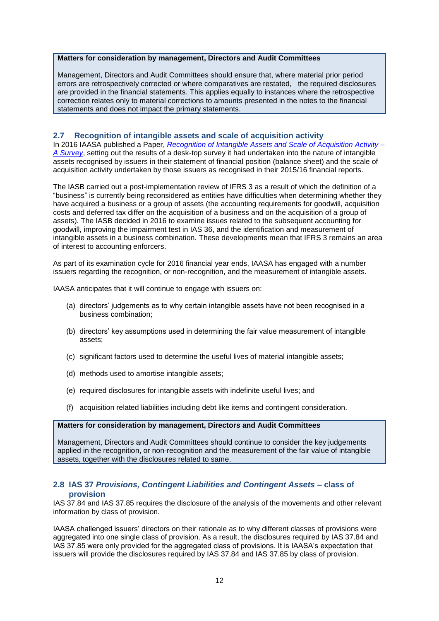#### **Matters for consideration by management, Directors and Audit Committees**

Management, Directors and Audit Committees should ensure that, where material prior period errors are retrospectively corrected or where comparatives are restated, the required disclosures are provided in the financial statements. This applies equally to instances where the retrospective correction relates only to material corrections to amounts presented in the notes to the financial statements and does not impact the primary statements.

# <span id="page-11-0"></span>**2.7 Recognition of intangible assets and scale of acquisition activity**

In 2016 IAASA published a Paper, *[Recognition of Intangible Assets and Scale of Acquisition Activity –](http://www.iaasa.ie/getmedia/2884ea04-dd82-441c-9eb5-8d78b9f86a68/2016_08_29-Intangible-assets-and-scale-of-acquisition-activity-survey-final.pdf?ext=.pdf) [A Survey](http://www.iaasa.ie/getmedia/2884ea04-dd82-441c-9eb5-8d78b9f86a68/2016_08_29-Intangible-assets-and-scale-of-acquisition-activity-survey-final.pdf?ext=.pdf)*, setting out the results of a desk-top survey it had undertaken into the nature of intangible assets recognised by issuers in their statement of financial position (balance sheet) and the scale of acquisition activity undertaken by those issuers as recognised in their 2015/16 financial reports.

The IASB carried out a post-implementation review of IFRS 3 as a result of which the definition of a "business" is currently being reconsidered as entities have difficulties when determining whether they have acquired a business or a group of assets (the accounting requirements for goodwill, acquisition costs and deferred tax differ on the acquisition of a business and on the acquisition of a group of assets). The IASB decided in 2016 to examine issues related to the subsequent accounting for goodwill, improving the impairment test in IAS 36, and the identification and measurement of intangible assets in a business combination. These developments mean that IFRS 3 remains an area of interest to accounting enforcers.

As part of its examination cycle for 2016 financial year ends, IAASA has engaged with a number issuers regarding the recognition, or non-recognition, and the measurement of intangible assets.

IAASA anticipates that it will continue to engage with issuers on:

- (a) directors' judgements as to why certain intangible assets have not been recognised in a business combination;
- (b) directors' key assumptions used in determining the fair value measurement of intangible assets;
- (c) significant factors used to determine the useful lives of material intangible assets;
- (d) methods used to amortise intangible assets;
- (e) required disclosures for intangible assets with indefinite useful lives; and
- (f) acquisition related liabilities including debt like items and contingent consideration.

# **Matters for consideration by management, Directors and Audit Committees**

Management, Directors and Audit Committees should continue to consider the key judgements applied in the recognition, or non-recognition and the measurement of the fair value of intangible assets, together with the disclosures related to same.

# <span id="page-11-1"></span>**2.8 IAS 37** *Provisions, Contingent Liabilities and Contingent Assets* **– class of provision**

IAS 37.84 and IAS 37.85 requires the disclosure of the analysis of the movements and other relevant information by class of provision.

IAASA challenged issuers' directors on their rationale as to why different classes of provisions were aggregated into one single class of provision. As a result, the disclosures required by IAS 37.84 and IAS 37.85 were only provided for the aggregated class of provisions. It is IAASA's expectation that issuers will provide the disclosures required by IAS 37.84 and IAS 37.85 by class of provision.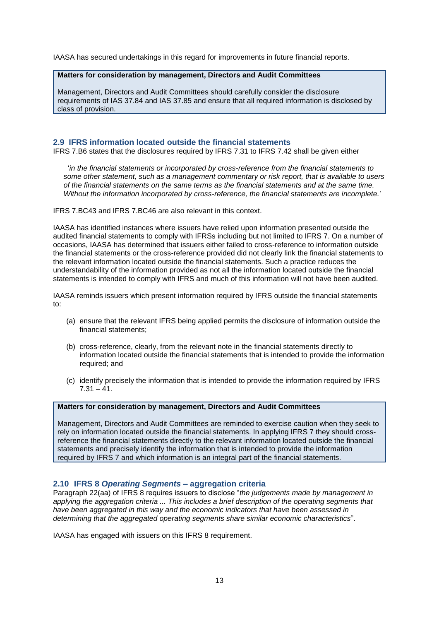IAASA has secured undertakings in this regard for improvements in future financial reports.

#### **Matters for consideration by management, Directors and Audit Committees**

Management, Directors and Audit Committees should carefully consider the disclosure requirements of IAS 37.84 and IAS 37.85 and ensure that all required information is disclosed by class of provision.

# <span id="page-12-0"></span>**2.9 IFRS information located outside the financial statements**

IFRS 7.B6 states that the disclosures required by IFRS 7.31 to IFRS 7.42 shall be given either

'*in the financial statements or incorporated by cross-reference from the financial statements to some other statement, such as a management commentary or risk report, that is available to users of the financial statements on the same terms as the financial statements and at the same time. Without the information incorporated by cross-reference, the financial statements are incomplete.*'

IFRS 7.BC43 and IFRS 7.BC46 are also relevant in this context.

IAASA has identified instances where issuers have relied upon information presented outside the audited financial statements to comply with IFRSs including but not limited to IFRS 7. On a number of occasions, IAASA has determined that issuers either failed to cross-reference to information outside the financial statements or the cross-reference provided did not clearly link the financial statements to the relevant information located outside the financial statements. Such a practice reduces the understandability of the information provided as not all the information located outside the financial statements is intended to comply with IFRS and much of this information will not have been audited.

IAASA reminds issuers which present information required by IFRS outside the financial statements to:

- (a) ensure that the relevant IFRS being applied permits the disclosure of information outside the financial statements;
- (b) cross-reference, clearly, from the relevant note in the financial statements directly to information located outside the financial statements that is intended to provide the information required; and
- (c) identify precisely the information that is intended to provide the information required by IFRS  $7.31 - 41.$

#### **Matters for consideration by management, Directors and Audit Committees**

Management, Directors and Audit Committees are reminded to exercise caution when they seek to rely on information located outside the financial statements. In applying IFRS 7 they should crossreference the financial statements directly to the relevant information located outside the financial statements and precisely identify the information that is intended to provide the information required by IFRS 7 and which information is an integral part of the financial statements.

# <span id="page-12-1"></span>**2.10 IFRS 8** *Operating Segments* **– aggregation criteria**

Paragraph 22(aa) of IFRS 8 requires issuers to disclose "*the judgements made by management in*  applying the aggregation criteria ... This includes a brief description of the operating segments that *have been aggregated in this way and the economic indicators that have been assessed in determining that the aggregated operating segments share similar economic characteristics*".

IAASA has engaged with issuers on this IFRS 8 requirement.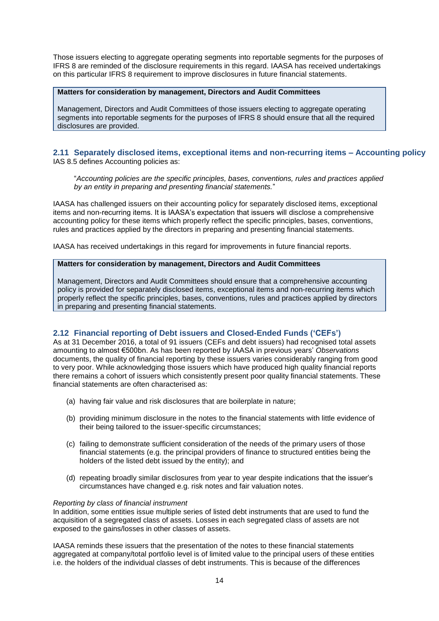Those issuers electing to aggregate operating segments into reportable segments for the purposes of IFRS 8 are reminded of the disclosure requirements in this regard. IAASA has received undertakings on this particular IFRS 8 requirement to improve disclosures in future financial statements.

# **Matters for consideration by management, Directors and Audit Committees**

Management, Directors and Audit Committees of those issuers electing to aggregate operating segments into reportable segments for the purposes of IFRS 8 should ensure that all the required disclosures are provided.

# <span id="page-13-0"></span>**2.11 Separately disclosed items, exceptional items and non-recurring items – Accounting policy**  IAS 8.5 defines Accounting policies as:

"*Accounting policies are the specific principles, bases, conventions, rules and practices applied by an entity in preparing and presenting financial statements.*"

IAASA has challenged issuers on their accounting policy for separately disclosed items, exceptional items and non-recurring items. It is IAASA's expectation that issuers will disclose a comprehensive accounting policy for these items which properly reflect the specific principles, bases, conventions, rules and practices applied by the directors in preparing and presenting financial statements.

IAASA has received undertakings in this regard for improvements in future financial reports.

# **Matters for consideration by management, Directors and Audit Committees**

Management, Directors and Audit Committees should ensure that a comprehensive accounting policy is provided for separately disclosed items, exceptional items and non-recurring items which properly reflect the specific principles, bases, conventions, rules and practices applied by directors in preparing and presenting financial statements.

# <span id="page-13-1"></span>**2.12 Financial reporting of Debt issuers and Closed-Ended Funds ('CEFs')**

As at 31 December 2016, a total of 91 issuers (CEFs and debt issuers) had recognised total assets amounting to almost €500bn. As has been reported by IAASA in previous years' *Observations* documents, the quality of financial reporting by these issuers varies considerably ranging from good to very poor. While acknowledging those issuers which have produced high quality financial reports there remains a cohort of issuers which consistently present poor quality financial statements. These financial statements are often characterised as:

- (a) having fair value and risk disclosures that are boilerplate in nature;
- (b) providing minimum disclosure in the notes to the financial statements with little evidence of their being tailored to the issuer-specific circumstances;
- (c) failing to demonstrate sufficient consideration of the needs of the primary users of those financial statements (e.g. the principal providers of finance to structured entities being the holders of the listed debt issued by the entity); and
- (d) repeating broadly similar disclosures from year to year despite indications that the issuer's circumstances have changed e.g. risk notes and fair valuation notes.

#### *Reporting by class of financial instrument*

In addition, some entities issue multiple series of listed debt instruments that are used to fund the acquisition of a segregated class of assets. Losses in each segregated class of assets are not exposed to the gains/losses in other classes of assets.

IAASA reminds these issuers that the presentation of the notes to these financial statements aggregated at company/total portfolio level is of limited value to the principal users of these entities i.e. the holders of the individual classes of debt instruments. This is because of the differences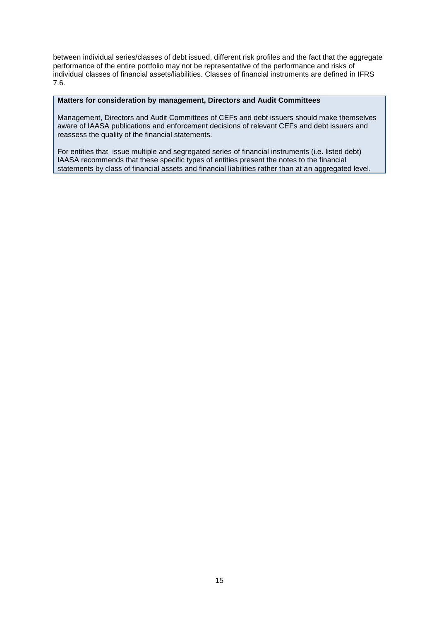between individual series/classes of debt issued, different risk profiles and the fact that the aggregate performance of the entire portfolio may not be representative of the performance and risks of individual classes of financial assets/liabilities. Classes of financial instruments are defined in IFRS 7.6.

#### **Matters for consideration by management, Directors and Audit Committees**

Management, Directors and Audit Committees of CEFs and debt issuers should make themselves aware of IAASA publications and enforcement decisions of relevant CEFs and debt issuers and reassess the quality of the financial statements.

For entities that issue multiple and segregated series of financial instruments (i.e. listed debt) IAASA recommends that these specific types of entities present the notes to the financial statements by class of financial assets and financial liabilities rather than at an aggregated level.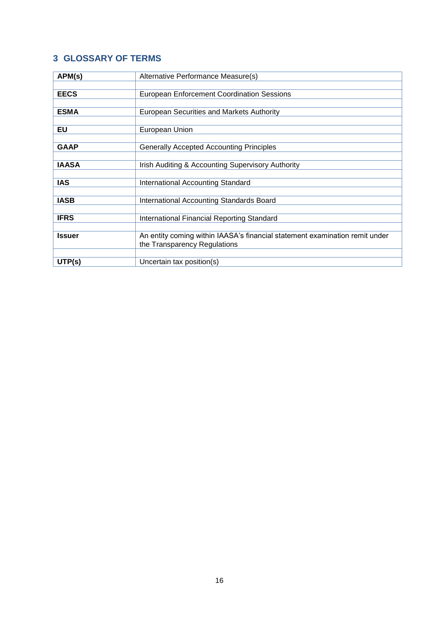# <span id="page-15-0"></span>**3 GLOSSARY OF TERMS**

| APM(s)        | Alternative Performance Measure(s)                                          |
|---------------|-----------------------------------------------------------------------------|
|               |                                                                             |
| <b>EECS</b>   | <b>European Enforcement Coordination Sessions</b>                           |
|               |                                                                             |
| <b>ESMA</b>   | European Securities and Markets Authority                                   |
|               |                                                                             |
| EU            | European Union                                                              |
|               |                                                                             |
| <b>GAAP</b>   | <b>Generally Accepted Accounting Principles</b>                             |
|               |                                                                             |
| <b>IAASA</b>  | Irish Auditing & Accounting Supervisory Authority                           |
|               |                                                                             |
| <b>IAS</b>    | International Accounting Standard                                           |
|               |                                                                             |
| <b>IASB</b>   | International Accounting Standards Board                                    |
|               |                                                                             |
| <b>IFRS</b>   | International Financial Reporting Standard                                  |
|               |                                                                             |
| <b>Issuer</b> | An entity coming within IAASA's financial statement examination remit under |
|               | the Transparency Regulations                                                |
|               |                                                                             |
| UTP(s)        | Uncertain tax position(s)                                                   |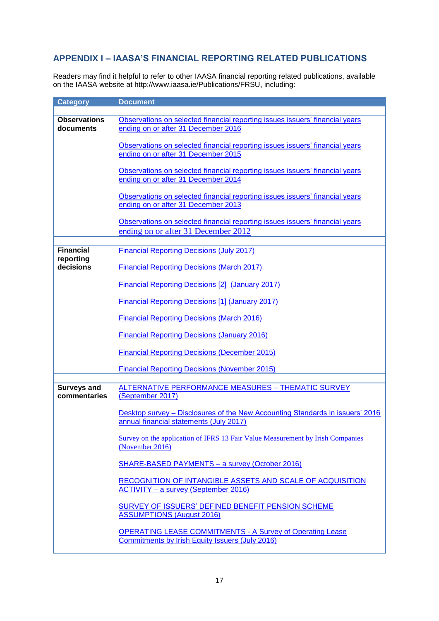# <span id="page-16-0"></span>**APPENDIX I – IAASA'S FINANCIAL REPORTING RELATED PUBLICATIONS**

Readers may find it helpful to refer to other IAASA financial reporting related publications, available on the IAASA website at http://www.iaasa.ie/Publications/FRSU, including:

| <b>Category</b>                    | <b>Document</b>                                                                                                          |
|------------------------------------|--------------------------------------------------------------------------------------------------------------------------|
|                                    |                                                                                                                          |
| <b>Observations</b><br>documents   | Observations on selected financial reporting issues issuers' financial years<br>ending on or after 31 December 2016      |
|                                    | Observations on selected financial reporting issues issuers' financial years<br>ending on or after 31 December 2015      |
|                                    | Observations on selected financial reporting issues issuers' financial years<br>ending on or after 31 December 2014      |
|                                    | Observations on selected financial reporting issues issuers' financial years<br>ending on or after 31 December 2013      |
|                                    | Observations on selected financial reporting issues issuers' financial years<br>ending on or after 31 December 2012      |
|                                    |                                                                                                                          |
| <b>Financial</b>                   | <b>Financial Reporting Decisions (July 2017)</b>                                                                         |
| reporting<br>decisions             | <b>Financial Reporting Decisions (March 2017)</b>                                                                        |
|                                    | <b>Financial Reporting Decisions [2] (January 2017)</b>                                                                  |
|                                    | <b>Financial Reporting Decisions [1] (January 2017)</b>                                                                  |
|                                    | <b>Financial Reporting Decisions (March 2016)</b>                                                                        |
|                                    | <b>Financial Reporting Decisions (January 2016)</b>                                                                      |
|                                    | <b>Financial Reporting Decisions (December 2015)</b>                                                                     |
|                                    | <b>Financial Reporting Decisions (November 2015)</b>                                                                     |
|                                    |                                                                                                                          |
| <b>Surveys and</b><br>commentaries | <b>ALTERNATIVE PERFORMANCE MEASURES - THEMATIC SURVEY</b><br>(September 2017)                                            |
|                                    | Desktop survey - Disclosures of the New Accounting Standards in issuers' 2016<br>annual financial statements (July 2017) |
|                                    | Survey on the application of IFRS 13 Fair Value Measurement by Irish Companies<br>(November 2016)                        |
|                                    | SHARE-BASED PAYMENTS - a survey (October 2016)                                                                           |
|                                    | RECOGNITION OF INTANGIBLE ASSETS AND SCALE OF ACQUISITION<br><b>ACTIVITY - a survey (September 2016)</b>                 |
|                                    | SURVEY OF ISSUERS' DEFINED BENEFIT PENSION SCHEME<br><b>ASSUMPTIONS (August 2016)</b>                                    |
|                                    | <b>OPERATING LEASE COMMITMENTS - A Survey of Operating Lease</b><br>Commitments by Irish Equity Issuers (July 2016)      |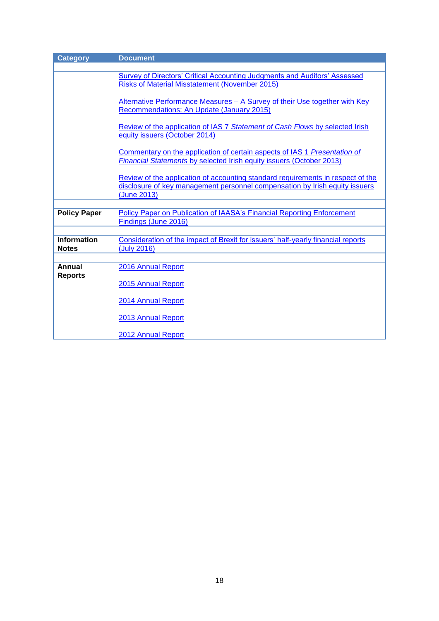| <b>Category</b>                    | <b>Document</b>                                                                                                                                                               |  |  |
|------------------------------------|-------------------------------------------------------------------------------------------------------------------------------------------------------------------------------|--|--|
|                                    |                                                                                                                                                                               |  |  |
|                                    | Survey of Directors' Critical Accounting Judgments and Auditors' Assessed                                                                                                     |  |  |
|                                    | <b>Risks of Material Misstatement (November 2015)</b>                                                                                                                         |  |  |
|                                    | Alternative Performance Measures - A Survey of their Use together with Key<br>Recommendations: An Update (January 2015)                                                       |  |  |
|                                    |                                                                                                                                                                               |  |  |
|                                    | Review of the application of IAS 7 Statement of Cash Flows by selected Irish<br>equity issuers (October 2014)                                                                 |  |  |
|                                    | Commentary on the application of certain aspects of IAS 1 Presentation of<br>Financial Statements by selected Irish equity issuers (October 2013)                             |  |  |
|                                    | Review of the application of accounting standard requirements in respect of the<br>disclosure of key management personnel compensation by Irish equity issuers<br>(June 2013) |  |  |
|                                    |                                                                                                                                                                               |  |  |
| <b>Policy Paper</b>                | Policy Paper on Publication of IAASA's Financial Reporting Enforcement<br>Findings (June 2016)                                                                                |  |  |
|                                    |                                                                                                                                                                               |  |  |
| <b>Information</b><br><b>Notes</b> | Consideration of the impact of Brexit for issuers' half-yearly financial reports<br>(July 2016)                                                                               |  |  |
|                                    |                                                                                                                                                                               |  |  |
| Annual<br><b>Reports</b>           | 2016 Annual Report                                                                                                                                                            |  |  |
|                                    | 2015 Annual Report                                                                                                                                                            |  |  |
|                                    | 2014 Annual Report                                                                                                                                                            |  |  |
|                                    | 2013 Annual Report                                                                                                                                                            |  |  |
|                                    | 2012 Annual Report                                                                                                                                                            |  |  |